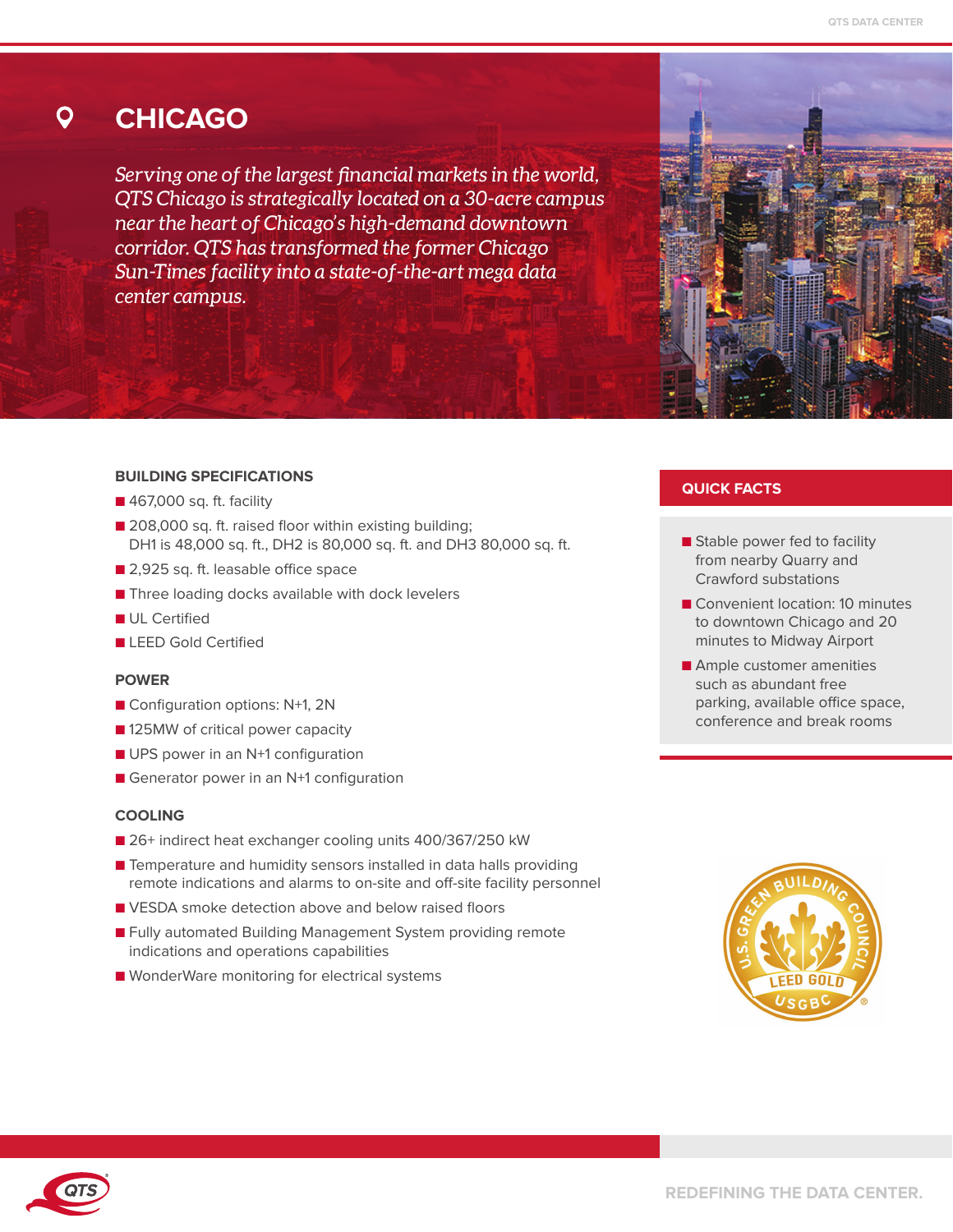#### **CHICAGO** O

*Serving one of the largest financial markets in the world, QTS Chicago is strategically located on a 30-acre campus near the heart of Chicago's high-demand downtown corridor. QTS has transformed the former Chicago Sun-Times facility into a state-of-the-art mega data center campus.*

### **BUILDING SPECIFICATIONS**

- 467,000 sq. ft. facility
- 208,000 sq. ft. raised floor within existing building; DH1 is 48,000 sq. ft., DH2 is 80,000 sq. ft. and DH3 80,000 sq. ft.
- 2,925 sq. ft. leasable office space
- Three loading docks available with dock levelers
- **■** UL Certified
- **■** LEED Gold Certified

### **POWER**

- Configuration options: N+1, 2N
- 125MW of critical power capacity
- UPS power in an N<sup>+1</sup> configuration
- Generator power in an N+1 configuration

### **COOLING**

- 26+ indirect heat exchanger cooling units 400/367/250 kW
- Temperature and humidity sensors installed in data halls providing remote indications and alarms to on-site and off-site facility personnel
- VESDA smoke detection above and below raised floors
- Fully automated Building Management System providing remote indications and operations capabilities
- WonderWare monitoring for electrical systems

## **QUICK FACTS**

- Stable power fed to facility from nearby Quarry and Crawford substations
- Convenient location: 10 minutes to downtown Chicago and 20 minutes to Midway Airport
- Ample customer amenities such as abundant free parking, available office space, conference and break rooms